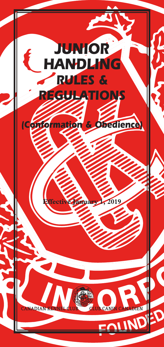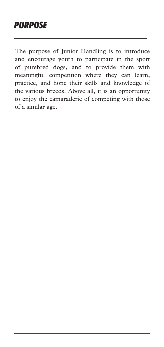# *PURPOSE*

The purpose of Junior Handling is to introduce and encourage youth to participate in the sport of purebred dogs, and to provide them with meaningful competition where they can learn, practice, and hone their skills and knowledge of the various breeds. Above all, it is an opportunity to enjoy the camaraderie of competing with those of a similar age.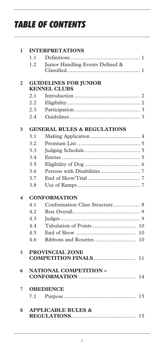# *TABLE OF CONTENTS*

| 1                        |     | <b>INTERPRETATIONS</b>                       |    |
|--------------------------|-----|----------------------------------------------|----|
|                          | 1.1 |                                              |    |
|                          | 1.2 | Junior Handling Events Defined &             |    |
|                          |     |                                              |    |
| $\overline{2}$           |     | <b>GUIDELINES FOR JUNIOR</b>                 |    |
|                          |     | <b>KENNEL CLUBS</b>                          |    |
|                          | 2.1 |                                              |    |
|                          | 2.2 |                                              |    |
|                          | 2.3 |                                              |    |
|                          | 2.4 |                                              |    |
| 3                        |     | <b>GENERAL RULES &amp; REGULATIONS</b>       |    |
|                          | 3.1 |                                              |    |
|                          | 3.2 |                                              |    |
|                          | 3.3 |                                              |    |
|                          | 3.4 |                                              |    |
|                          | 3.5 |                                              |    |
|                          | 3.6 |                                              |    |
|                          | 3.7 |                                              |    |
|                          | 3.8 |                                              |    |
| 4                        |     | <b>CONFORMATION</b>                          |    |
|                          | 4.1 | Conformation Class Structure 8               |    |
|                          | 4.2 |                                              |    |
|                          | 4.3 |                                              |    |
|                          | 4.4 |                                              |    |
|                          | 4.5 |                                              | 10 |
|                          | 4.6 |                                              | 10 |
|                          |     |                                              |    |
| $\overline{\phantom{0}}$ |     | PROVINCIAL ZONE<br><b>COMPETITION FINALS</b> |    |
|                          |     |                                              | 11 |
| 6                        |     | <b>NATIONAL COMPETITION -</b>                |    |
|                          |     |                                              |    |
| 7                        |     | <b>OBEDIENCE</b>                             |    |
|                          | 7.1 |                                              | 15 |
| 8                        |     | <b>APPLICABLE RULES &amp;</b>                |    |
|                          |     |                                              | 15 |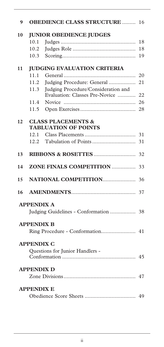|      |                                                                       | 16                                                                                                                                                                                                                                                                                                                                                                                                                               |
|------|-----------------------------------------------------------------------|----------------------------------------------------------------------------------------------------------------------------------------------------------------------------------------------------------------------------------------------------------------------------------------------------------------------------------------------------------------------------------------------------------------------------------|
|      |                                                                       |                                                                                                                                                                                                                                                                                                                                                                                                                                  |
| 10.1 |                                                                       | 18                                                                                                                                                                                                                                                                                                                                                                                                                               |
| 10.2 |                                                                       | 18                                                                                                                                                                                                                                                                                                                                                                                                                               |
| 10.3 |                                                                       | 19                                                                                                                                                                                                                                                                                                                                                                                                                               |
|      |                                                                       |                                                                                                                                                                                                                                                                                                                                                                                                                                  |
| 11.1 |                                                                       | 20                                                                                                                                                                                                                                                                                                                                                                                                                               |
| 11.2 | Judging Procedure: General                                            | 21                                                                                                                                                                                                                                                                                                                                                                                                                               |
| 11.3 | Judging Procedure/Consideration and<br>Evaluation: Classes Pre-Novice | 22                                                                                                                                                                                                                                                                                                                                                                                                                               |
| 11.4 |                                                                       | 26                                                                                                                                                                                                                                                                                                                                                                                                                               |
| 11.5 |                                                                       | 28                                                                                                                                                                                                                                                                                                                                                                                                                               |
|      |                                                                       |                                                                                                                                                                                                                                                                                                                                                                                                                                  |
| 12.1 |                                                                       | 31                                                                                                                                                                                                                                                                                                                                                                                                                               |
| 12.2 |                                                                       | 31                                                                                                                                                                                                                                                                                                                                                                                                                               |
|      |                                                                       | 32                                                                                                                                                                                                                                                                                                                                                                                                                               |
|      |                                                                       | 33                                                                                                                                                                                                                                                                                                                                                                                                                               |
|      |                                                                       | 36                                                                                                                                                                                                                                                                                                                                                                                                                               |
|      |                                                                       | 37                                                                                                                                                                                                                                                                                                                                                                                                                               |
|      |                                                                       |                                                                                                                                                                                                                                                                                                                                                                                                                                  |
|      |                                                                       |                                                                                                                                                                                                                                                                                                                                                                                                                                  |
|      |                                                                       |                                                                                                                                                                                                                                                                                                                                                                                                                                  |
|      |                                                                       |                                                                                                                                                                                                                                                                                                                                                                                                                                  |
|      |                                                                       |                                                                                                                                                                                                                                                                                                                                                                                                                                  |
|      |                                                                       |                                                                                                                                                                                                                                                                                                                                                                                                                                  |
|      |                                                                       |                                                                                                                                                                                                                                                                                                                                                                                                                                  |
|      |                                                                       |                                                                                                                                                                                                                                                                                                                                                                                                                                  |
|      |                                                                       |                                                                                                                                                                                                                                                                                                                                                                                                                                  |
|      |                                                                       |                                                                                                                                                                                                                                                                                                                                                                                                                                  |
|      |                                                                       |                                                                                                                                                                                                                                                                                                                                                                                                                                  |
|      |                                                                       | <b>OBEDIENCE CLASS STRUCTURE </b><br><b>JUNIOR OBEDIENCE JUDGES</b><br><b>JUDGING EVALUATION CRITERIA</b><br><b>CLASS PLACEMENTS &amp;</b><br><b>TABLUATION OF POINTS</b><br><b>ZONE FINALS COMPETITION </b><br><b>NATIONAL COMPETITION</b><br><b>APPENDIX A</b><br>Judging Guidelines - Conformation  38<br><b>APPENDIX B</b><br><b>APPENDIX C</b><br>Questions for Junior Handlers -<br><b>APPENDIX D</b><br><b>APPENDIX E</b> |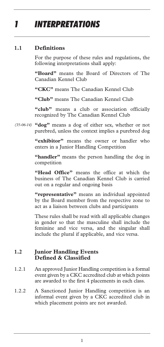# *1 INTERPRETATIONS*

### **1.1 Definitions**

For the purpose of these rules and regulations, the following interpretations shall apply:

**"Board"** means the Board of Directors of The Canadian Kennel Club

**"CKC"** means The Canadian Kennel Club

**"Club"** means The Canadian Kennel Club

"club" means a club or association officially recognized by The Canadian Kennel Club

**"dog"** means a dog of either sex, whether or not *(35-06-14)* purebred, unless the context implies a purebred dog

> **"exhibitor"** means the owner or handler who enters in a Junior Handling Competition

> **"handler"** means the person handling the dog in competition

> **"Head Office"** means the office at which the business of The Canadian Kennel Club is carried out on a regular and ongoing basis

> **"representative"** means an individual appointed by the Board member from the respective zone to act as a liaison between clubs and participants

> These rules shall be read with all applicable changes in gender so that the masculine shall include the feminine and vice versa, and the singular shall include the plural if applicable, and vice versa.

### **1.2 Junior Handling Events Defined & Classified**

- 1.2.1 An approved Junior Handling competition is a formal event given by a CKC accredited club at which points are awarded to the first 4 placements in each class.
- 1.2.2 A Sanctioned Junior Handling competition is an informal event given by a CKC accredited club in which placement points are not awarded.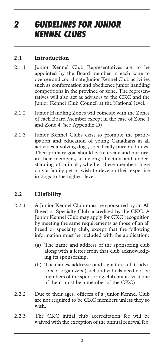# *2 GUIDELINES FOR JUNIOR KENNEL CLUBS*

### **2.1 Introduction**

- 2.1.1 Junior Kennel Club Representatives are to be appointed by the Board member in each zone to oversee and coordinate Junior Kennel Club activities such as conformation and obedience junior handling competitions in the province or zone. The representatives will also act as advisors to the CKC and the Junior Kennel Club Council at the National level.
- 2.1.2 Junior Handling Zones will coincide with the Zones of each Board Member except in the case of Zone 1 and Zone 4 (see Appendix D)
- 2.1.3 Junior Kennel Clubs exist to promote the participation and education of young Canadians in all activities involving dogs, specifically purebred dogs. Their primary goal should be to create and nurture, in their members, a lifelong affection and understanding of animals, whether these members have only a family pet or wish to develop their expertise in dogs to the highest level.

# **2.2 Eligibility**

- 2.2.1 A Junior Kennel Club must be sponsored by an All Breed or Specialty Club accredited by the CKC. A Junior Kennel Club may apply for CKC recognition by meeting the same requirements as those of an all breed or specialty club, except that the following information must be included with the application:
	- (a) The name and address of the sponsoring club along with a letter from that club acknowledging its sponsorship.
	- (b) The names, addresses and signatures of its advisors or organizers (such individuals need not be members of the sponsoring club but at least one of them must be a member of the CKC).
- 2.2.2 Due to their ages, officers of a Junior Kennel Club are not required to be CKC members unless they so wish.
- 2.2.3 The CKC initial club accreditation fee will be waived with the exception of the annual renewal fee.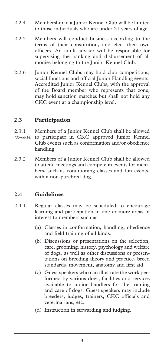- 2.2.4 Membership in a Junior Kennel Club will be limited to those individuals who are under 21 years of age.
- 2.2.5 Members will conduct business according to the terms of their constitution, and elect their own officers. An adult advisor will be responsible for supervising the banking and disbursement of all monies belonging to the Junior Kennel Club.
- 2.2.6 Junior Kennel Clubs may hold club competitions, social functions and official Junior Handling events. Accredited Junior Kennel Clubs, with the approval of the Board member who represents that zone, may hold sanction matches but shall not hold any CKC event at a championship level.

### **2.3 Participation**

- 2.3.1 Members of a Junior Kennel Club shall be allowed (35-06-14) to participate in CKC approved Junior Kennel Club events such as conformation and/or obedience handling.
- 2.3.2 Members of a Junior Kennel Club shall be allowed to attend meetings and compete in events for members, such as conditioning classes and fun events, with a non-purebred dog.

# **2.4 Guidelines**

- 2.4.1 Regular classes may be scheduled to encourage learning and participation in one or more areas of interest to members such as:
	- (a) Classes in conformation, handling, obedience and field training of all kinds.
	- (b) Discussions or presentations on the selection, care, grooming, history, psychology and welfare of dogs, as well as other discussions or presentations on breeding theory and practice, breed standards, movement, anatomy and first aid.
	- (c) Guest speakers who can illustrate the work performed by various dogs, facilities and services available to junior handlers for the training and care of dogs. Guest speakers may include breeders, judges, trainers, CKC officials and veterinarians, etc.
	- (d) Instruction in stewarding and judging.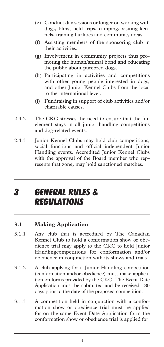- (e) Conduct day sessions or longer on working with dogs, films, field trips, camping, visiting kennels, training facilities and community areas.
- (f) Assisting members of the sponsoring club in their activities.
- (g) Involvement in community projects thus promoting the human/animal bond and educating the public about purebred dogs.
- (h) Participating in activities and competitions with other young people interested in dogs, and other Junior Kennel Clubs from the local to the international level.
- (i) Fundraising in support of club activities and/or charitable causes.
- 2.4.2 The CKC stresses the need to ensure that the fun element stays in all junior handling competitions and dog-related events.
- 2.4.3 Junior Kennel Clubs may hold club competitions, social functions and official independent Junior Handling events. Accredited Junior Kennel Clubs with the approval of the Board member who represents that zone, may hold sanctioned matches.

# *3 GENERAL RULES & REGULATIONS*

### **3.1 Making Application**

- 3.1.1 Any club that is accredited by The Canadian Kennel Club to hold a conformation show or obedience trial may apply to the CKC to hold Junior Handlingcompetitions for conformation and/or obedience in conjunction with its shows and trials.
- 3.1.2 A club applying for a Junior Handling competition (conformation and/or obedience) must make application on forms provided by the CKC. The Event Date Application must be submitted and be received 180 days prior to the date of the proposed competition.
- 3.1.3 A competition held in conjunction with a conformation show or obedience trial must be applied for on the same Event Date Application form the conformation show or obedience trial is applied for.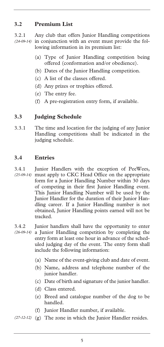# **3.2 Premium List**

3.2.1 Any club that offers Junior Handling competitions (24-09-14) in conjunction with an event must provide the following information in its premium list:

- (a) Type of Junior Handling competition being offered (conformation and/or obedience).
- (b) Dates of the Junior Handling competition.
- (c) A list of the classes offered.
- (d) Any prizes or trophies offered.
- (e) The entry fee.
- (f) A pre-registration entry form, if available.

# **3.3 Judging Schedule**

3.3.1 The time and location for the judging of any Junior Handling competitions shall be indicated in the judging schedule.

### **3.4 Entries**

- 3.4.1 Junior Handlers with the exception of PeeWees, (25-09-14) must apply to CKC Head Office on the appropriate form for a Junior Handling Number within 30 days of competing in their first Junior Handling event. This Junior Handling Number will be used by the Junior Handler for the duration of their Junior Handling career. If a Junior Handling number is not obtained, Junior Handling points earned will not be tracked.
- 3.4.2 Junior handlers shall have the opportunity to enter a Junior Handling competition by completing the *(26-09-14)*  entry form at least one hour in advance of the scheduled judging day of the event. The entry form shall include the following information:
	- (a) Name of the event-giving club and date of event.
	- (b) Name, address and telephone number of the junior handler.
	- (c) Date of birth and signature of the junior handler.
	- (d) Class entered.
	- (e) Breed and catalogue number of the dog to be handled.
	- (f) Junior Handler number, if available.
- (27-12-12) (g) The zone in which the Junior Handler resides.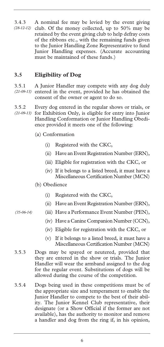3.4.3 A nominal fee may be levied by the event giving club. Of the money collected, up to 50% may be retained by the event giving club to help defray costs of the ribbons etc., with the remaining funds given to the Junior Handling Zone Representative to fund Junior Handling expenses. (Accurate accounting must be maintained of these funds.) *(28-12-12)* 

### **3.5 Eligibility of Dog**

3.5.1 A Junior Handler may compete with any dog duly (21-09-13) entered in the event, provided he has obtained the consent of the owner or agent to do so.

3.5.2 Every dog entered in the regular shows or trials, or for Exhibition Only, is eligible for entry into Junior *(21-09-13)*  Handling Conformation or Junior Handling Obedience provided it meets one of the following:

- (a) Conformation
	- (i) Registered with the CKC,
	- (ii) Have an Event Registration Number (ERN),
	- (iii) Eligible for registration with the CKC, or
	- (iv) If it belongs to a listed breed, it must have a Miscellaneous Certification Number (MCN)
- (b) Obedience

*(35-06-14)* 

- (i) Registered with the CKC,
- (ii) Have an Event Registration Number (ERN),
- (iii) Have a Performance Event Number (PEN),
	- (iv) Have a Canine Companion Number (CCN),
	- (iv) Eligible for registration with the CKC, or
	- (v) If it belongs to a listed breed, it must have a Miscellaneous Certification Number (MCN)
- 3.5.3 Dogs may be spayed or neutered, provided that they are entered in the show or trials. The Junior Handler will wear the armband assigned to the dog for the regular event. Substitutions of dogs will be allowed during the course of the competition.
- 3.5.4 Dogs being used in these competitions must be of the appropriate size and temperament to enable the Junior Handler to compete to the best of their ability. The Junior Kennel Club representative, their designate (or a Show Official if the former are not available), has the authority to monitor and remove a handler and dog from the ring if, in his opinion,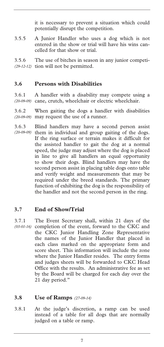it is necessary to prevent a situation which could potentially disrupt the competition.

3.5.5 A Junior Handler who uses a dog which is not entered in the show or trial will have his wins cancelled for that show or trial.

3.5.6 The use of bitches in season in any junior competi-(29-12-12) tion will not be permitted.

### **3.6 Persons with Disabilities**

3.6.1 A handler with a disability may compete using a (20-09-09) cane, crutch, wheelchair or electric wheelchair.

3.6.2 When gaiting the dogs a handler with disabilities may request the use of a runner. *(20-09-09)* 

3.6.3 Blind handlers may have a second person assist (20-09-09) them in individual and group gaiting of the dogs. If the ring surface or terrain makes it difficult for the assisted handler to gait the dog at a normal speed, the judge may adjust where the dog is placed in line to give all handlers an equal opportunity to show their dogs. Blind handlers may have the second person assist in placing table dogs onto table and verify weight and measurements that may be required under the breed standards. The primary function of exhibiting the dog is the responsibility of the handler and not the second person in the ring.

### **3.7 End of Show/Trial**

3.7.1 The Event Secretary shall, within 21 days of the (03-01-16) completion of the event, forward to the CKC and the CKC Junior Handling Zone Representative the names of the Junior Handler that placed in each class marked on the appropriate form and score sheet. This information will include the zone where the Junior Handler resides. The entry forms and judges sheets will be forwarded to CKC Head Office with the results. An administrative fee as set by the Board will be charged for each day over the 21 day period."

#### **3.8 Use of Ramps** *(27-09-14)*

3.8.1 At the judge's discretion, a ramp can be used instead of a table for all dogs that are normally judged on a table or ramp.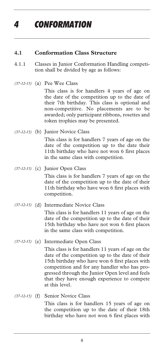# *4 CONFORMATION*

#### **4.1 Conformation Class Structure**

- 4.1.1 Classes in Junior Conformation Handling competition shall be divided by age as follows:
- (a) Pee Wee Class *(37-12-15)*

 This class is for handlers 4 years of age on the date of the competition up to the date of their 7th birthday. This class is optional and non-competitive. No placements are to be awarded; only participant ribbons, rosettes and token trophies may be presented.

(b) Junior Novice Class *(37-12-15)* 

 This class is for handlers 7 years of age on the date of the competition up to the date their 11th birthday who have not won 6 first places in the same class with competition.

(c) Junior Open Class *(37-12-15)* 

 This class is for handlers 7 years of age on the date of the competition up to the date of their 11th birthday who have won 6 first places with competition.

#### (d) Intermediate Novice Class *(37-12-15)*

 This class is for handlers 11 years of age on the date of the competition up to the date of their 15th birthday who have not won 6 first places in the same class with competition.

(37-12-15) (e) Intermediate Open Class

 This class is for handlers 11 years of age on the date of the competition up to the date of their 15th birthday who have won 6 first places with competition and for any handler who has progressed through the Junior Open level and feels that they have enough experience to compete at this level.

(f) Senior Novice Class *(37-12-15)* 

 This class is for handlers 15 years of age on the competition up to the date of their 18th birthday who have not won 6 first places with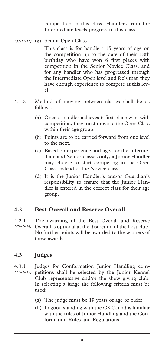competition in this class. Handlers from the Intermediate levels progress to this class.

(g) Senior Open Class *(37-12-15)* 

 This class is for handlers 15 years of age on the competition up to the date of their 18th birthday who have won 6 first places with competition in the Senior Novice Class, and for any handler who has progressed through the Intermediate Open level and feels that they have enough experience to compete at this level.

- 4.1.2 Method of moving between classes shall be as follows:
	- (a) Once a handler achieves 6 first place wins with competition, they must move to the Open Class within their age group.
	- (b) Points are to be carried forward from one level to the next.
	- (c) Based on experience and age, for the Intermediate and Senior classes only, a Junior Handler may choose to start competing in the Open Class instead of the Novice class.
	- (d) It is the Junior Handler's and/or Guardian's responsibility to ensure that the Junior Handler is entered in the correct class for their age group.

### **4.2 Best Overall and Reserve Overall**

4.2.1 The awarding of the Best Overall and Reserve Overall is optional at the discretion of the host club. *(29-09-14)*  No further points will be awarded to the winners of these awards.

# **4.3 Judges**

4.3.1 Judges for Conformation Junior Handling competitions shall be selected by the Junior Kennel *(21-09-13)*  Club representative and/or the show giving club. In selecting a judge the following criteria must be used:

- (a) The judge must be 19 years of age or older.
- (b) In good standing with the CKC, and is familiar with the rules of Junior Handling and the Conformation Rules and Regulations.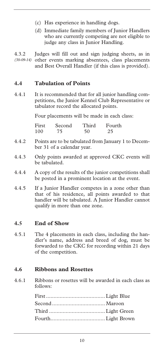- (c) Has experience in handling dogs.
- (d) Immediate family members of Junior Handlers who are currently competing are not eligible to judge any class in Junior Handling.

4.3.2 Judges will fill out and sign judging sheets, as in (30-09-14) other events marking absentees, class placements and Best Overall Handler (if this class is provided).

# **4.4 Tabulation of Points**

4.4.1 It is recommended that for all junior handling competitions, the Junior Kennel Club Representative or tabulator record the allocated points.

Four placements will be made in each class:

| First | Second | Third | Fourth |
|-------|--------|-------|--------|
| 100   | 75     | 50    | 25     |

- 4.4.2 Points are to be tabulated from January 1 to December 31 of a calendar year.
- 4.4.3 Only points awarded at approved CKC events will be tabulated.
- 4.4.4 A copy of the results of the junior competitions shall be posted in a prominent location at the event.
- 4.4.5 If a Junior Handler competes in a zone other than that of his residence, all points awarded to that handler will be tabulated. A Junior Handler cannot qualify in more than one zone.

# **4.5 End of Show**

4.5.1 The 4 placements in each class, including the handler's name, address and breed of dog, must be forwarded to the CKC for recording within 21 days of the competition.

### **4.6 Ribbons and Rosettes**

4.6.1 Ribbons or rosettes will be awarded in each class as follows: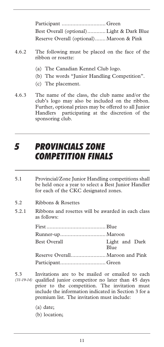| Best Overall (optional) Light & Dark Blue |  |
|-------------------------------------------|--|
| Reserve Overall (optional) Maroon & Pink  |  |

- 4.6.2 The following must be placed on the face of the ribbon or rosette:
	- (a) The Canadian Kennel Club logo.
	- (b) The words "Junior Handling Competition".
	- (c) The placement.
- 4.6.3 The name of the class, the club name and/or the club's logo may also be included on the ribbon. Further, optional prizes may be offered to all Junior Handlers participating at the discretion of the sponsoring club.

# *5 PROVINCIALS ZONE COMPETITION FINALS*

- 5.1 Provincial/Zone Junior Handling competitions shall be held once a year to select a Best Junior Handler for each of the CKC designated zones.
- 5.2 Ribbons & Rosettes
- 5.2.1 Ribbons and rosettes will be awarded in each class as follows:

| <b>Best Overall</b> | Light and Dark<br><b>Blue</b> |
|---------------------|-------------------------------|
|                     |                               |
|                     |                               |

- 5.3 Invitations are to be mailed or emailed to each qualified junior competitor no later than 45 days *(31-19-14)* prior to the competition. The invitation must include the information indicated in Section 3 for a premium list. The invitation must include:
	- (a) date;
	- (b) location;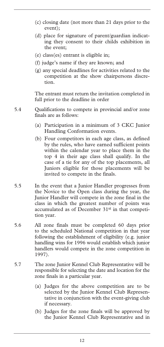- (c) closing date (not more than 21 days prior to the event);
- (d) place for signature of parent/guardian indicating they consent to their childs exhibition in the event;
- (e) class(es) entrant is eligible in;
- (f) judge's name if they are known; and
- (g) any special deadlines for activities related to the competition at the show chairpersons discretion.

The entrant must return the invitation completed in full prior to the deadline in order

- 5.4 Qualifications to compete in provincial and/or zone finals are as follows:
	- (a) Participation in a minimum of 3 CKC Junior Handling Conformation events.
	- (b) Four competitors in each age class, as defined by the rules, who have earned sufficient points within the calendar year to place them in the top 4 in their age class shall qualify. In the case of a tie for any of the top placements, all Juniors eligible for those placements will be invited to compete in the finals.
- 5.5 In the event that a Junior Handler progresses from the Novice to the Open class during the year, the Junior Handler will compete in the zone final in the class in which the greatest number of points was accumulated as of December 31st in that competition year.
- 5.6 All zone finals must be completed 60 days prior to the scheduled National competition in that year following the establishment of eligibility (e.g. junior handling wins for 1996 would establish which junior handlers would compete in the zone competition in 1997).
- 5.7 The zone Junior Kennel Club Representative will be responsible for selecting the date and location for the zone finals in a particular year.
	- (a) Judges for the above competition are to be selected by the Junior Kennel Club Representative in conjunction with the event-giving club if necessary.
	- (b) Judges for the zone finals will be approved by the Junior Kennel Club Representative and in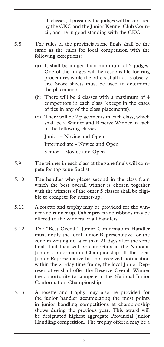all classes, if possible, the judges will be certified by the CKC and the Junior Kennel Club Council, and be in good standing with the CKC.

- 5.8 The rules of the provincial/zone finals shall be the same as the rules for local competition with the following exceptions:
	- (a) It shall be judged by a minimum of 3 judges. One of the judges will be responsible for ring procedures while the others shall act as observers. Score sheets must be used to determine the placements.
	- (b) There will be 6 classes with a maximum of 4 competitors in each class (except in the cases of ties in any of the class placements).
	- (c) There will be 2 placements in each class, which shall be a Winner and Reserve Winner in each of the following classes:

Junior – Novice and Open

Intermediate - Novice and Open

Senior – Novice and Open

- 5.9 The winner in each class at the zone finals will compete for top zone finalist.
- 5.10 The handler who places second in the class from which the best overall winner is chosen together with the winners of the other 5 classes shall be eligible to compete for runner-up.
- 5.11 A rosette and trophy may be provided for the winner and runner up. Other prizes and ribbons may be offered to the winners or all handlers.
- 5.12 The "Best Overall" Junior Conformation Handler must notify the local Junior Representative for the zone in writing no later than 21 days after the zone finals that they will be competing in the National Junior Conformation Championship. If the local Junior Representative has not received notification within the 21-day time frame, the local Junior Representative shall offer the Reserve Overall Winner the opportunity to compete in the National Junior Conformation Championship.
- 5.13 A rosette and trophy may also be provided for the junior handler accumulating the most points in junior handling competitions at championship shows during the previous year. This award will be designated highest aggregate Provincial Junior Handling competition. The trophy offered may be a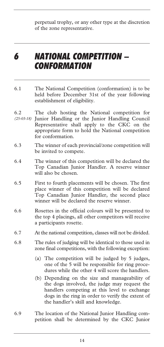perpetual trophy, or any other type at the discretion of the zone representative.

# *6 NATIONAL COMPETITION – CONFORMATION*

- 6.1 The National Competition (conformation) is to be held before December 31st of the year following establishment of eligibility.
- 6.2 The club hosting the National competition for Junior Handling or the Junior Handling Council Representative shall apply to the CKC on the appropriate form to hold the National competition for conformation. *(25-03-18)*
- 6.3 The winner of each provincial/zone competition will be invited to compete.
- 6.4 The winner of this competition will be declared the Top Canadian Junior Handler. A reserve winner will also be chosen.
- 6.5 First to fourth placements will be chosen. The first place winner of this competition will be declared Top Canadian Junior Handler, the second place winner will be declared the reserve winner.
- 6.6 Rosettes in the official colours will be presented to the top 4 placings, all other competitors will receive a participants rosette.
- 6.7 At the national competition, classes will not be divided.
- 6.8 The rules of judging will be identical to those used in zone final competitions, with the following exception:
	- (a) The competition will be judged by 5 judges, one of the 5 will be responsible for ring procedures while the other 4 will score the handlers.
	- (b) Depending on the size and manageability of the dogs involved, the judge may request the handlers competing at this level to exchange dogs in the ring in order to verify the extent of the handler's skill and knowledge.
- 6.9 The location of the National Junior Handling competition shall be determined by the CKC Junior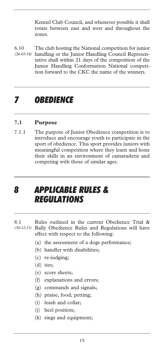Kennel Club Council, and whenever possible it shall rotate between east and west and throughout the zones.

6.10 The club hosting the National competition for junior (26-03-18) handling or the Junior Handling Council Representative shall within 21 days of the competition of the Junior Handling Conformation National competition forward to the CKC the name of the winners.

# *7 OBEDIENCE*

#### **7.1 Purpose**

7.1.1 The purpose of Junior Obedience competition is to introduce and encourage youth to participate in the sport of obedience. This sport provides juniors with meaningful competition where they learn and hone their skills in an environment of camaraderie and competing with those of similar ages.

# *8 APPLICABLE RULES & REGULATIONS*

- 8.1 Rules outlined in the current Obedience Trial & (30-12-15) Rally Obedience Rules and Regulations will have effect with respect to the following:
	- (a) the assessment of a dogs performance;
	- (b) handler with disabilities;
	- (c) re-judging;
	- (d) ties;
	- (e) score sheets;
	- (f) explanations and errors;
	- (g) commands and signals;
	- (h) praise, food, petting;
	- (i) leash and collar;
	- (j) heel position;
	- (k) rings and equipment;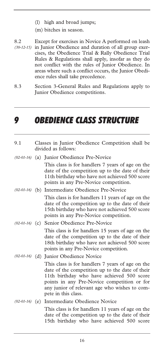- (l) high and broad jumps;
- (m) bitches in season.
- 8.2 Except for exercises in Novice A performed on leash (30-12-15) in Junior Obedience and duration of all group exercises, the Obedience Trial & Rally Obedience Trial Rules & Regulations shall apply, insofar as they do not conflict with the rules of Junior Obedience. In areas where such a conflict occurs, the Junior Obedience rules shall take precedence.
- 8.3 Section 3-General Rules and Regulations apply to Junior Obedience competitions.

# *9 OBEDIENCE CLASS STRUCTURE*

| 9.1 | Classes in Junior Obedience Competition shall be<br>divided as follows:                                                                                                                                                                                                 |  |
|-----|-------------------------------------------------------------------------------------------------------------------------------------------------------------------------------------------------------------------------------------------------------------------------|--|
|     | (02-01-16) (a) Junior Obedience Pre-Novice                                                                                                                                                                                                                              |  |
|     | This class is for handlers 7 years of age on the<br>date of the competition up to the date of their<br>11th birthday who have not achieved 500 score<br>points in any Pre-Novice competition.                                                                           |  |
|     | (02-01-16) (b) Intermediate Obedience Pre-Novice                                                                                                                                                                                                                        |  |
|     | This class is for handlers 11 years of age on the<br>date of the competition up to the date of their<br>15th birthday who have not achieved 500 score<br>points in any Pre-Novice competition.                                                                          |  |
|     | (02-01-16) (c) Senior Obedience Pre-Novice                                                                                                                                                                                                                              |  |
|     | This class is for handlers 15 years of age on the<br>date of the competition up to the date of their<br>18th birthday who have not achieved 500 score<br>points in any Pre-Novice competition.                                                                          |  |
|     | (02-01-16) (d) Junior Obedience Novice                                                                                                                                                                                                                                  |  |
|     | This class is for handlers 7 years of age on the<br>date of the competition up to the date of their<br>11th birthday who have achieved 500 score<br>points in any Pre-Novice competition or for<br>any junior of relevant age who wishes to com-<br>pete in this class. |  |
|     | (02-01-16) (e) Intermediate Obedience Novice                                                                                                                                                                                                                            |  |
|     | This class is for handlers 11 years of age on the<br>date of the competition up to the date of their<br>15th birthday who have achieved 500 score                                                                                                                       |  |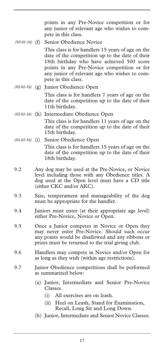points in any Pre-Novice competition or for any junior of relevant age who wishes to compete in this class.

Senior Obedience Novice  $(02-01-16)$  (f)

> This class is for handlers 15 years of age on the date of the competition up to the date of their 18th birthday who have achieved 500 score points in any Pre-Novice competition or for any junior of relevant age who wishes to compete in this class.

- (g) Junior Obedience Open *(02-01-16)*  This class is for handlers 7 years of age on the date of the competition up to the date of their 11th birthday.
- (h) Intermediate Obedience Open *(02-01-16)*  This class is for handlers 11 years of age on the date of the competition up to the date of their 15th birthday.
- (i) Senior Obedience Open *(02-01-16)*  This class is for handlers 15 years of age on the date of the competition up to the date of their 18th birthday.
- 9.2 Any dog may be used at the Pre-Novice, or Novice level including those with any Obedience titles. A dog used at the Open level must have a CD title (either CKC and/or AKC).
- 9.3 Size, temperament and manageability of the dog must be appropriate for the handler.
- 9.4 Juniors must enter (at their appropriate age level) either Pre-Novice, Novice or Open.
- 9.5 Once a Junior competes in Novice or Open they may never enter Pre-Novice. Should such occur any points would be disallowed and any ribbons or prizes must be returned to the trial giving club.
- 9.6 Handlers may compete in Novice and/or Open for as long as they wish (within age restrictions).
- 9.7 Junior Obedience competitions shall be performed as summarized below:
	- (a) Junior, Intermediate and Senior Pre-Novice Classes.
		- (i) All exercises are on leash.
		- (ii) Heel on Leash, Stand for Examination, Recall, Long Sit and Long Down.
	- (b) Junior, Intermediate and Senior Novice Classes: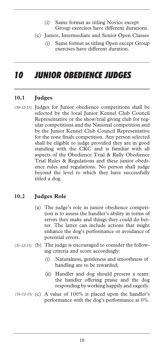- (i) Same format as titling Novice except Group exercises have different durations.
- (c) Junior, Intermediate and Senior Open Classes
	- (i) Same format as titling Open except Group exercises have different duration.

# *10 JUNIOR OBEDIENCE JUDGES*

### **10.1 Judges**

(30-12-15) Judges for Junior obedience competitions shall be selected by the local Junior Kennel Club Council Representative or the show/trial giving club for regular competitions and the National competition and by the Junior Kennel Club Council Representative for the zone finals competition. Any person selected shall be eligible to judge provided they are in good standing with the CKC and is familiar with all aspects of the Obedience Trial & Rally Obedience Trial Rules & Regulations and these junior obedience rules and regulations. No person shall judge beyond the level to which they have successfully titled a dog.

# **10.2 Judges Role**

- (a) The judge's role in junior obedience competition is to assess the handler's ability in terms of errors they make and things they could do better. The latter can include actions that might enhance the dog's performance or avoidance of potential errors.
- (b) The judge is encouraged to consider the follow-*(31-12-15)*  ing criteria and score accordingly:
	- (i) Naturalness, gentleness and smoothness of handling are to be rewarded;
	- (ii) Handler and dog should present a team: the handler offering praise and the dog responding by working happily and eagerly.
- (31-12-15) (c) A value of 100% is placed upon the handler's performance with the dog's performance at 0%.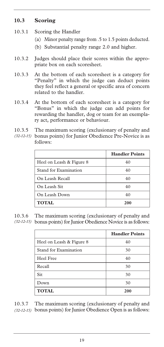# **10.3 Scoring**

- 10.3.1 Scoring the Handler
	- (a) Minor penalty range from .5 to 1.5 points deducted.
	- (b) Substantial penalty range 2.0 and higher.
- 10.3.2 Judges should place their scores within the appropriate box on each scoresheet.
- 10.3.3 At the bottom of each scoresheet is a category for "Penalty" in which the judge can deduct points they feel reflect a general or specific area of concern related to the handler.
- 10.3.4 At the bottom of each scoresheet is a category for "Bonus" in which the judge can add points for rewarding the handler, dog or team for an exemplary act, performance or behaviour.
- 10.3.5 The maximum scoring (exclusionary of penalty and bonus points) for Junior Obedience Pre-Novice is as *(32-12-15)*  follows:

|                          | <b>Handler Points</b> |
|--------------------------|-----------------------|
| Heel on Leash & Figure 8 | 40                    |
| Stand for Examination    | 40                    |
| On Leash Recall          | 40                    |
| On Leash Sit             | 40                    |
| On Leash Down            | 40                    |
| <b>TOTAL</b>             | 200                   |

10.3.6 The maximum scoring (exclusionary of penalty and bonus points) for Junior Obedience Novice is as follows: *(32-12-15)* 

|                          | <b>Handler Points</b> |
|--------------------------|-----------------------|
| Heel on Leash & Figure 8 | 40                    |
| Stand for Examination    | 30                    |
| Heel Free                | 40                    |
| Recall                   | 30                    |
| Sit                      | 30                    |
| Down                     | 30                    |
| <b>TOTAL</b>             | 200                   |

10.3.7 The maximum scoring (exclusionary of penalty and bonus points) for Junior Obedience Open is as follows: *(32-12-15)*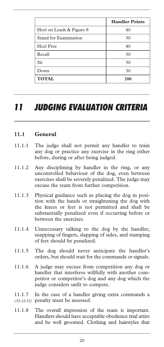|                          | <b>Handler Points</b> |
|--------------------------|-----------------------|
| Heel on Leash & Figure 8 | 40                    |
| Stand for Examination    | 30                    |
| Heel Free                | 40                    |
| Recall                   | 30                    |
| Sit                      | 30                    |
| Down                     | 30                    |
| <b>TOTAL</b>             | 200                   |

# *11 JUDGING EVALUATION CRITERIA*

#### **11.1 General**

- 11.1.1 The judge shall not permit any handler to train any dog or practice any exercise in the ring either before, during or after being judged.
- 11.1.2 Any disciplining by handler in the ring, or any uncontrolled behaviour of the dog, even between exercises shall be severely penalized. The judge may excuse the team from further competition.
- 11.1.3 Physical guidance such as placing the dog in position with the hands or straightening the dog with the knees or feet is not permitted and shall be substantially penalized even if occurring before or between the exercises.
- 11.1.4 Unnecessary talking to the dog by the handler, snapping of fingers, slapping of sides, and stamping of feet should be penalized.
- 11.1.5 The dog should never anticipate the handler's orders, but should wait for the commands or signals.
- 11.1.6 A judge may excuse from competition any dog or handler that interferes willfully with another competitor or competitor's dog and any dog which the judge considers unfit to compete.
- 11.1.7 In the case of a handler giving extra commands a penalty must be assessed. *(33-12-15)*
- 11.1.8 The overall impression of the team is important. Handlers should have acceptable obedience trial attire and be well groomed. Clothing and hairstyles that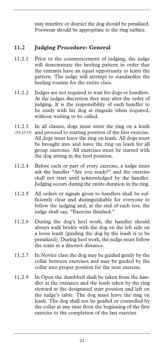may interfere or distract the dog should be penalized. Footwear should be appropriate to the ring surface.

# **11.2 Judging Procedure: General**

- 11.2.1 Prior to the commencement of judging, the judge will demonstrate the heeling pattern in order that the entrants have an equal opportunity to learn the pattern. The judge will attempt to standardize the heeling routine for the entire class.
- 11.2.2 Judges are not required to wait for dogs or handlers. At the judges discretion they may alter the order of judging. It is the responsibility of each handler to be ready with his dog at ringside when required, without waiting to be called.
- 11.2.3 In all classes, dogs must enter the ring on a leash (34-12-15) and proceed to starting position of the first exercise. All dogs must leave the ring on leash. All dogs must be brought into and leave the ring on leash for all group exercises. All exercises must be started with the dog sitting in the heel position.
- 11.2.4 Before each or part of every exercise, a judge must ask the handler "Are you ready?" and the exercise shall not start until acknowledged by the handler. Judging occurs during the entire duration in the ring.
- 11.2.5 All orders or signals given to handlers shall be sufficiently clear and distinguishable for everyone to follow the judging and, at the end of each test, the judge shall say, "Exercise finished."
- 11.2.6 During the dog's heel work, the handler should always walk briskly with the dog on the left side on a loose leash (guiding the dog by the leash is to be penalized). During heel work, the judge must follow the team at a discreet distance.
- 11.2.7 In Novice class the dog may be guided gently by the collar between exercises and may be guided by the collar into proper position for the next exercise.
- 11.2.8 In Open the dumbbell shall be taken from the handler at the entrance and the leash taken by the ring steward at the designated start position and left on the judge's table. The dog must leave the ring on leash. The dog shall not be guided or controlled by the collar at any time from the beginning of the first exercise to the completion of the last exercise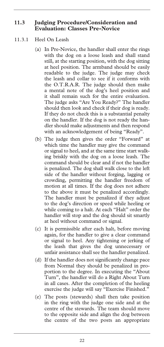#### **11.3 Judging Procedure/Consideration and Evaluation: Classes Pre-Novice**

#### 11.3.1 Heel On Leash

- (a) In Pre-Novice, the handler shall enter the rings with the dog on a loose leash and shall stand still, at the starting position, with the dog sitting at heel position. The armband should be easily readable to the judge. The judge may check the leash and collar to see if it conforms with the O.T.R.A.R. The judge should then make a mental note of the dog's heel position and it shall remain such for the entire evaluation. The judge asks "Are You Ready?" The handler should then look and check if their dog is ready. If they do not check this is a substantial penalty on the handler. If the dog is not ready the handler should make adjustments and then respond with an acknowledgement of being "Ready".
- (b) The judge then gives the order "Forward" at which time the handler may give the command or signal to heel, and at the same time start walking briskly with the dog on a loose leash. The command should be clear and if not the handler is penalized. The dog shall walk close to the left side of the handler without forging, lagging or crowding, permitting the handler freedom of motion at all times. If the dog does not adhere to the above it must be penalized accordingly. The handler must be penalized if they adjust to the dog's direction or speed while heeling or while coming to a halt. At each "Halt" order the handler will stop and the dog should sit smartly at heel without command or signal.
- (c) It is permissible after each halt, before moving again, for the handler to give a clear command or signal to heel. Any tightening or jerking of the leash that gives the dog unnecessary or unfair assistance shall see the handler penalized.
- (d) If the handler does not significantly change pace from Normal they should be penalized in proportion to the degree. In executing the "About Turn", the handler will do a Right About Turn in all cases. After the completion of the heeling exercise the judge will say "Exercise Finished."
- (e) The posts (stewards) shall then take position in the ring with the judge one side and at the centre of the stewards. The team should move to the opposite side and align the dog between the centre of the two posts an appropriate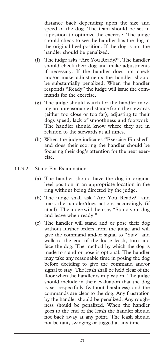distance back depending upon the size and speed of the dog. The team should be set in a position to optimize the exercise. The judge should check to see the handler has the dog in the original heel position. If the dog is not the handler should be penalized.

- (f) The judge asks "Are You Ready?". The handler should check their dog and make adjustments if necessary. If the handler does not check and/or make adjustments the handler should be substantially penalized. When the handler responds "Ready" the judge will issue the commands for the exercise.
- (g) The judge should watch for the handler moving an unreasonable distance from the stewards (either too close or too far); adjusting to their dogs speed, lack of smoothness and footwork. The handler should know where they are in relation to the stewards at all times.
- (h) When the judge indicates "Exercise Finished" and does their scoring the handler should be focusing their dog's attention for the next exercise.
- 11.3.2 Stand For Examination
	- (a) The handler should have the dog in original heel position in an appropriate location in the ring without being directed by the judge.
	- (b) The judge shall ask "Are You Ready?" and mark the handler/dogs actions accordingly (if at all). The judge will then say "Stand your dog and leave when ready."
	- (c) The handler will stand and or pose their dog without further orders from the judge and will give the command and/or signal to "Stay" and walk to the end of the loose leash, turn and face the dog. The method by which the dog is made to stand or pose is optional. The handler may take any reasonable time in posing the dog before deciding to give the command and/or signal to stay. The leash shall be held clear of the floor when the handler is in position. The judge should include in their evaluation that the dog is set respectfully (without harshness) and the commands are clear to the dog. Any frustration by the handler should be penalized. Any roughness should be penalized. When the handler goes to the end of the leash the handler should not back away at any point. The leash should not be taut, swinging or tugged at any time.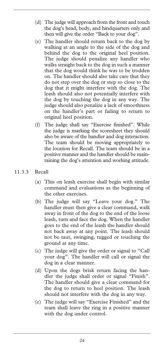- (d) The judge will approach from the front and touch the dog's head, body, and hindquarters only and then will give the order "Back to your dog".
- (e) The handler should return back to the dog by walking at an angle to the side of the dog and behind the dog to the original heel position. The judge should penalize any handler who walks straight back to the dog in such a manner that the dog would think he was to be trodden on. The handler should also take care that they do not step over the dog or step so close to the dog that it might interfere with the dog. The leash should also not potentially interfere with the dog by touching the dog in any way. The judge should also penalize a lack of smoothness on the handler's part or failing to return to original heel position.
- (f) The judge shall say "Exercise finished". While the judge is marking the scoresheet they should also be aware of the handler and dog interaction. The team should be moving appropriately to the location for Recall. The team should be in a positive manner and the handler should be maintaining the dog's attention and working attitude.
- 11.3.3 Recall
	- (a) This on leash exercise shall begin with similar command and evaluations as the beginning of the other exercises.
	- (b) The judge will say "Leave your dog." The handler must then give a clear command, walk away in front of the dog to the end of the loose leash, turn and face the dog. When the handler goes to the end of the leash the handler should not back away at any point. The leash should not be taut, swinging, tugged or touching the ground at any time.
	- (c) The judge will give the order or signal to "Call your dog". The handler will call or signal the dog in a clear manner.
	- (d) Upon the dogs brisk return facing the handler the judge shall order or signal "Finish". The handler should give a clear command for the dog to return to heel position. The leash should not interfere with the dog in any way.
	- (e) The judge will say "Exercise Finished" and the team shall leave the ring in a positive manner with the dog under control.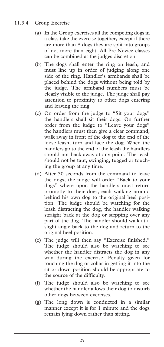#### 11.3.4 Group Exercise

- (a) In the Group exercises all the competing dogs in a class take the exercise together, except if there are more than 8 dogs they are split into groups of not more than eight. All Pre-Novice classes can be combined at the judges discretion.
- (b) The dogs shall enter the ring on leash, and must line up in order of judging along one side of the ring. Handler's armbands shall be placed behind the dogs without being told by the judge. The armband numbers must be clearly visible to the judge. The judge shall pay attention to proximity to other dogs entering and leaving the ring.
- (c) On order from the judge to "Sit your dogs" the handlers shall sit their dogs. On further order from the judge to "Leave your dogs" the handlers must then give a clear command, walk away in front of the dog to the end of the loose leash, turn and face the dog. When the handlers go to the end of the leash the handlers should not back away at any point. The leash should not be taut, swinging, tugged or touching the group at any time.
- (d) After 30 seconds from the command to leave the dogs, the judge will order "Back to your dogs" where upon the handlers must return promptly to their dogs, each walking around behind his own dog to the original heel position. The judge should be watching for the leash distracting the dog, the handler walking straight back at the dog or stepping over any part of the dog. The handler should walk at a slight angle back to the dog and return to the original heel position.
- (e) The judge will then say "Exercise finished." The judge should also be watching to see whether the handler distracts the dog in any way during the exercise. Penalty given for touching the dog or collar in getting it into the sit or down position should be appropriate to the source of the difficulty.
- (f) The judge should also be watching to see whether the handler allows their dog to disturb other dogs between exercises.
- (g) The long down is conducted in a similar manner except it is for 1 minute and the dogs remain lying down rather than sitting.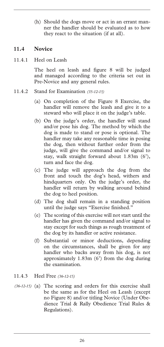(h) Should the dogs move or act in an errant manner the handler should be evaluated as to how they react to the situation (if at all).

#### **11.4 Novice**

11.4.1 Heel on Leash

The heel on leash and figure 8 will be judged and managed according to the criteria set out in Pre-Novice and any general rules.

- 11.4.2 Stand for Examination *(35-12-15)*
	- (a) On completion of the Figure 8 Exercise, the handler will remove the leash and give it to a steward who will place it on the judge's table.
	- (b) On the judge's order, the handler will stand and/or pose his dog. The method by which the dog is made to stand or pose is optional. The handler may take any reasonable time in posing the dog, then without further order from the judge, will give the command and/or signal to stay, walk straight forward about 1.83m (6'), turn and face the dog.
	- (c) The judge will approach the dog from the front and touch the dog's head, withers and hindquarters only. On the judge's order, the handler will return by walking around behind the dog to heel position.
	- (d) The dog shall remain in a standing position until the judge says "Exercise finished."
	- (e) The scoring of this exercise will not start until the handler has given the command and/or signal to stay except for such things as rough treatment of the dog by its handler or active resistance.
	- (f) Substantial or minor deductions, depending on the circumstances, shall be given for any handler who backs away from his dog, is not approximately 1.83m (6') from the dog during the examination.

#### 11.4.3 Heel Free *(36-12-15)*

(36-12-15) (a) The scoring and orders for this exercise shall be the same as for the Heel on Leash (except no Figure 8) and/or titling Novice (Under Obedience Trial & Rally Obedience Trial Rules & Regulations).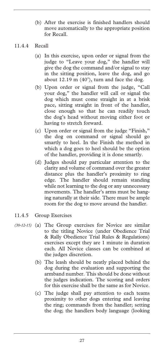(b) After the exercise is finished handlers should move automatically to the appropriate position for Recall.

#### 11.4.4 Recall

- (a) In this exercise, upon order or signal from the judge to "Leave your dog," the handler will give the dog the command and/or signal to stay in the sitting position, leave the dog, and go about 12.19 m (40'), turn and face the dog.
- (b) Upon order or signal from the judge, "Call your dog," the handler will call or signal the dog which must come straight in at a brisk pace, sitting straight in front of the handler, close enough so that he can readily touch the dog's head without moving either foot or having to stretch forward.
- (c) Upon order or signal from the judge "Finish," the dog on command or signal should go smartly to heel. In the Finish the method in which a dog goes to heel should be the option of the handler, providing it is done smartly.
- (d) Judges should pay particular attention to the clarity and volume of command over the greater distance plus the handler's proximity to ring edge. The handler should remain standing while not learning to the dog or any unnecessary movements. The handler's arms must be hanging naturally at their side. There must be ample room for the dog to move around the handler.

#### 11.4.5 Group Exercises

- (a) The Group exercises for Novice are similar *(30-12-15)* to the titling Novice (under Obedience Trial & Rally Obedience Trial Rules & Regulations) exercises except they are 1 minute in duration each. All Novice classes can be combined at the judges discretion.
	- (b) The leash should be neatly placed behind the dog during the evaluation and supporting the armband number. This should be done without the judges indication. The scoring and orders for this exercise shall be the same as for Novice.
	- (c) The judge shall pay attention to each teams proximity to other dogs entering and leaving the ring; commands from the handler; setting the dog; the handlers body language (looking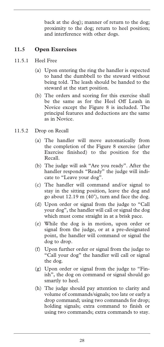back at the dog); manner of return to the dog; proximity to the dog; return to heel position; and interference with other dogs.

### **11.5 Open Exercises**

- 11.5.1 Heel Free
	- (a) Upon entering the ring the handler is expected to hand the dumbbell to the steward without being told. The leash should be handed to the steward at the start position.
	- (b) The orders and scoring for this exercise shall be the same as for the Heel Off Leash in Novice except the Figure 8 is included. The principal features and deductions are the same as in Novice.
- 11.5.2 Drop on Recall
	- (a) The handler will move automatically from the completion of the Figure 8 exercise (after Exercise finished) to the position for the Recall.
	- (b) The judge will ask "Are you ready". After the handler responds "Ready" the judge will indicate to "Leave your dog".
	- (c) The handler will command and/or signal to stay in the sitting position, leave the dog and go about 12.19 m (40'), turn and face the dog.
	- (d) Upon order or signal from the judge to "Call your dog", the handler will call or signal the dog which must come straight in at a brisk pace.
	- (e) While the dog is in motion, upon order or signal from the judge, or at a pre-designated point, the handler will command or signal the dog to drop.
	- (f) Upon further order or signal from the judge to "Call your dog" the handler will call or signal the dog.
	- (g) Upon order or signal from the judge to "Finish", the dog on command or signal should go smartly to heel.
	- (h) The judge should pay attention to clarity and volume of commands/signals; too late or early a drop command; using two commands for drop; holding signals; extra command to finish or using two commands; extra commands to stay.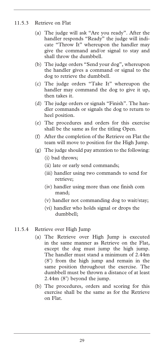#### 11.5.3 Retrieve on Flat

- (a) The judge will ask "Are you ready". After the handler responds "Ready" the judge will indicate "Throw It" whereupon the handler may give the command and/or signal to stay and shall throw the dumbbell.
- (b) The judge orders "Send your dog", whereupon the handler gives a command or signal to the dog to retrieve the dumbbell.
- (c) The judge orders "Take It" whereupon the handler may command the dog to give it up, then takes it.
- (d) The judge orders or signals "Finish". The handler commands or signals the dog to return to heel position.
- (e) The procedures and orders for this exercise shall be the same as for the titling Open.
- (f) After the completion of the Retrieve on Flat the team will move to position for the High Jump.
- (g) The judge should pay attention to the following:
	- (i) bad throws;
	- (ii) late or early send commands;
	- (iii) handler using two commands to send for retrieve;
	- (iv) handler using more than one finish com mand;
	- (v) handler not commanding dog to wait/stay;
	- (vi) handler who holds signal or drops the dumbbell;

### 11.5.4 Retrieve over High Jump

- (a) The Retrieve over High Jump is executed in the same manner as Retrieve on the Flat, except the dog must jump the high jump. The handler must stand a minimum of 2.44m (8') from the high jump and remain in the same position throughout the exercise. The dumbbell must be thrown a distance of at least 2.44m (8') beyond the jump.
- (b) The procedures, orders and scoring for this exercise shall be the same as for the Retrieve on Flat.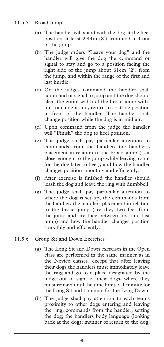### 11.5.5 Broad Jump

- (a) The handler will stand with the dog at the heel position at least 2.44m (8') from and in front of the jump.
- (b) The judge orders "Leave your dog" and the handler will give the dog the command or signal to stay and go to a position facing the right side of the jump about 61cm (2') from the jump, and within the range of the first and last hurdle.
- (c) On the judges command the handler shall command or signal to jump and the dog should clear the entire width of the broad jump without touching it and, return to a sitting position in front of the handler. The handler shall change position while the dog is in mid air.
- (d) Upon command from the judge the handler will "Finish" the dog to heel position.
- (e) The judge shall pay particular attention to commands from the handler; the handler's placement in relation to the broad jump (is it close enough to the jump while leaving room for the dog later to heel); and how the handler changes position smoothly and efficiently.
- (f) After exercise is finished the handler should leash the dog and leave the ring with dumbbell.
- (g) The judge shall pay particular attention to where the dog is set up, the commands from the handler, the handlers placement in relation to the broad jump (are they two feet from the jump and are they between first and last jump) and how the handler changes position smoothly and efficiently.
- 11.5.6 Group Sit and Down Exercises
	- (a) The Long Sit and Down exercises in the Open class are performed in the same manner as in the Novice classes, except that after leaving their dogs the handlers must immediately leave the ring and go to a place designated by the judge out of sight of their dogs, where they must remain until the time limit of 1 minute for the Long Sit and 1 minute for the Long Down.
	- (b) The judge shall pay attention to each teams proximity to other dogs entering and leaving the ring; commands from the handler; setting the dog; the handlers body language (looking back at the dog); manner of return to the dog;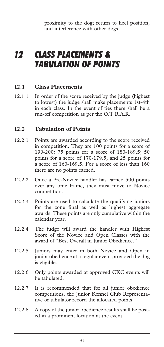proximity to the dog; return to heel position; and interference with other dogs.

# *12 CLASS PLACEMENTS & TABULATION OF POINTS*

#### **12.1 Class Placements**

12.1.1 In order of the score received by the judge (highest to lowest) the judge shall make placements 1st-4th in each class. In the event of ties there shall be a run-off competition as per the O.T.R.A.R.

### **12.2 Tabulation of Points**

- 12.2.1 Points are awarded according to the score received in competition. They are 100 points for a score of 190-200; 75 points for a score of 180-189.5; 50 points for a score of 170-179.5; and 25 points for a score of 160-169.5. For a score of less than 160 there are no points earned.
- 12.2.2 Once a Pre-Novice handler has earned 500 points over any time frame, they must move to Novice competition.
- 12.2.3 Points are used to calculate the qualifying juniors for the zone final as well as highest aggregate awards. These points are only cumulative within the calendar year.
- 12.2.4 The judge will award the handler with Highest Score of the Novice and Open Classes with the award of "Best Overall in Junior Obedience."
- 12.2.5 Juniors may enter in both Novice and Open in junior obedience at a regular event provided the dog is eligible.
- 12.2.6 Only points awarded at approved CKC events will be tabulated.
- 12.2.7 It is recommended that for all junior obedience competitions, the Junior Kennel Club Representative or tabulator record the allocated points.
- 12.2.8 A copy of the junior obedience results shall be posted in a prominent location at the event.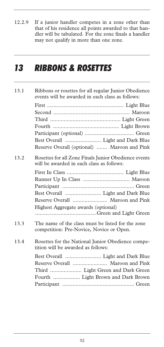12.2.9 If a junior handler competes in a zone other than that of his residence all points awarded to that handler will be tabulated. For the zone finals a handler may not qualify in more than one zone.

# *13 RIBBONS & ROSETTES*

| 13.1 | Ribbons or rosettes for all regular Junior Obedience<br>events will be awarded in each class as follows: |  |  |
|------|----------------------------------------------------------------------------------------------------------|--|--|
|      |                                                                                                          |  |  |
|      |                                                                                                          |  |  |
|      |                                                                                                          |  |  |
|      |                                                                                                          |  |  |
|      |                                                                                                          |  |  |
|      |                                                                                                          |  |  |
|      | Reserve Overall (optional)  Maroon and Pink                                                              |  |  |
| 13.2 | Rosettes for all Zone Finals Junior Obedience events<br>will be awarded in each class as follows:        |  |  |
|      |                                                                                                          |  |  |
|      |                                                                                                          |  |  |
|      |                                                                                                          |  |  |
|      | Best Overall  Light and Dark Blue                                                                        |  |  |
|      | Reserve Overall  Maroon and Pink                                                                         |  |  |
|      | Highest Aggregate awards (optional)                                                                      |  |  |
|      |                                                                                                          |  |  |
| 13.3 | The name of the class must be listed for the zone<br>competition: Pre-Novice, Novice or Open.            |  |  |
| 13.4 | Rosettes for the National Junior Obedience compe-<br>tition will be awarded as follows:                  |  |  |
|      |                                                                                                          |  |  |
|      | Reserve Overall  Maroon and Pink                                                                         |  |  |
|      | Third  Light Green and Dark Green                                                                        |  |  |
|      | Fourth  Light Brown and Dark Brown                                                                       |  |  |
|      |                                                                                                          |  |  |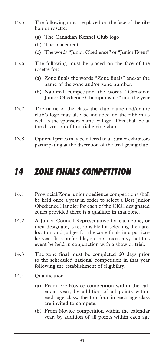- 13.5 The following must be placed on the face of the ribbon or rosette:
	- (a) The Canadian Kennel Club logo.
	- (b) The placement
	- (c) The words "Junior Obedience" or "Junior Event"
- 13.6 The following must be placed on the face of the rosette for:
	- (a) Zone finals the words "Zone finals" and/or the name of the zone and/or zone number.
	- (b) National competition the words "Canadian Junior Obedience Championship" and the year
- 13.7 The name of the class, the club name and/or the club's logo may also be included on the ribbon as well as the sponsors name or logo. This shall be at the discretion of the trial giving club.
- 13.8 Optional prizes may be offered to all junior exhibitors participating at the discretion of the trial giving club.

# *14 ZONE FINALS COMPETITION*

- 14.1 Provincial/Zone junior obedience competitions shall be held once a year in order to select a Best Junior Obedience Handler for each of the CKC designated zones provided there is a qualifier in that zone.
- 14.2 A Junior Council Representative for each zone, or their designate, is responsible for selecting the date, location and judges for the zone finals in a particular year. It is preferable, but not necessary, that this event be held in conjunction with a show or trial.
- 14.3 The zone final must be completed 60 days prior to the scheduled national competition in that year following the establishment of eligibility.
- 14.4 Qualification
	- (a) From Pre-Novice competition within the calendar year, by addition of all points within each age class, the top four in each age class are invited to compete.
	- (b) From Novice competition within the calendar year, by addition of all points within each age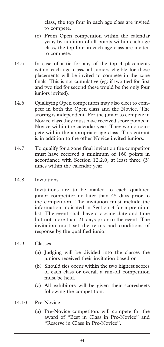class, the top four in each age class are invited to compete.

- (c) From Open competition within the calendar year, by addition of all points within each age class, the top four in each age class are invited to compete.
- 14.5 In case of a tie for any of the top 4 placements within each age class, all juniors eligible for those placements will be invited to compete in the zone finals. This is not cumulative (eg: if two tied for first and two tied for second these would be the only four juniors invited).
- 14.6 Qualifying Open competitors may also elect to compete in both the Open class and the Novice. The scoring is independent. For the junior to compete in Novice class they must have received score points in Novice within the calendar year. They would compete within the appropriate age class. This entrant is in addition to the other Novice invited juniors.
- 14.7 To qualify for a zone final invitation the competitor must have received a minimum of 160 points in accordance with Section 12.2.0, at least three (3) times within the calendar year.
- 14.8 Invitations

Invitations are to be mailed to each qualified junior competitor no later than 45 days prior to the competition. The invitation must include the information indicated in Section 3 for a premium list. The event shall have a closing date and time but not more than 21 days prior to the event. The invitation must set the terms and conditions of response by the qualified junior.

- 14.9 Classes
	- (a) Judging will be divided into the classes the juniors received their invitation based on
	- (b) Should ties occur within the two highest scores of each class or overall a run-off competition must be held.
	- (c) All exhibitors will be given their scoresheets following the competition.
- 14.10 Pre-Novice
	- (a) Pre-Novice competitors will compete for the award of "Best in Class in Pre-Novice" and "Reserve in Class in Pre-Novice".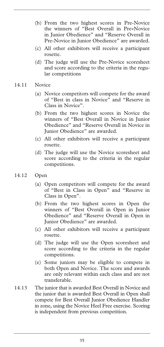- (b) From the two highest scores in Pre-Novice the winners of "Best Overall in Pre**-**Novice in Junior Obedience" and "Reserve Overall in Pre-Novice in Junior Obedience" are awarded.
- (c) All other exhibitors will receive a participant rosette.
- (d) The judge will use the Pre-Novice scoresheet and score according to the criteria in the regular competitions
- 14.11 Novice
	- (a) Novice competitors will compete for the award of "Best in class in Novice" and "Reserve in Class in Novice".
	- (b) From the two highest scores in Novice the winners of "Best Overall in Novice in Junior Obedience" and "Reserve Overall in Novice in Junior Obedience" are awarded.
	- (c) All other exhibitors will receive a participant rosette.
	- (d) The judge will use the Novice scoresheet and score according to the criteria in the regular competitions.
- 14.12 Open
	- (a) Open competitors will compete for the award of "Best in Class in Open" and "Reserve in Class in Open".
	- (b) From the two highest scores in Open the winners of "Best Overall in Open in Junior Obedience" and "Reserve Overall in Open in Junior Obedience" are awarded.
	- (c) All other exhibitors will receive a participant rosette.
	- (d) The judge will use the Open scoresheet and score according to the criteria in the regular competitions.
	- (e) Some juniors may be eligible to compete in both Open and Novice. The score and awards are only relevant within each class and are not transferable.
- 14.13 The junior that is awarded Best Overall in Novice and the junior that is awarded Best Overall in Open shall compete for Best Overall Junior Obedience Handler in zone, using the Novice Heel Free exercise. Scoring is independent from previous competition.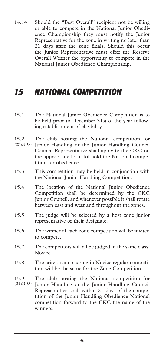14.14 Should the "Best Overall" recipient not be willing or able to compete in the National Junior Obedience Championship they must notify the Junior Representative for the zone in writing no later than 21 days after the zone finals. Should this occur the Junior Representative must offer the Reserve Overall Winner the opportunity to compete in the National Junior Obedience Championship.

# *15 NATIONAL COMPETITION*

- 15.1 The National Junior Obedience Competition is to be held prior to December 31st of the year following establishment of eligibility
- 15.2 The club hosting the National competition for Junior Handling or the Junior Handling Council Council Representative shall apply to the CKC on the appropriate form tol hold the National competition for obedience. *(27-03-18)*
- 15.3 This competition may be held in conjunction with the National Junior Handling Competition.
- 15.4 The location of the National Junior Obedience Competition shall be determined by the CKC Junior Council, and whenever possible it shall rotate between east and west and throughout the zones.
- 15.5 The judge will be selected by a host zone junior representative or their designate.
- 15.6 The winner of each zone competition will be invited to compete.
- 15.7 The competitors will all be judged in the same class: Novice.
- 15.8 The criteria and scoring in Novice regular competition will be the same for the Zone Competition.
- 15.9 The club hosting the National competition for Junior Handling or the Junior Handling Council Representative shall within 21 days of the competition of the Junior Handling Obedience National competition forward to the CKC the name of the winners. *(28-03-18)*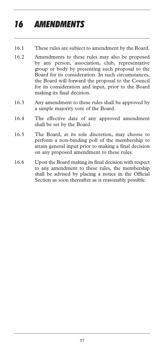# *16 AMENDMENTS*

- 16.1 These rules are subject to amendment by the Board.
- 16.2 Amendments to these rules may also be proposed by any person, association, club, representative group or body by presenting such proposal to the Board for its consideration. In such circumstances, the Board will forward the proposal to the Council for its consideration and input, prior to the Board making its final decision.
- 16.3 Any amendment to these rules shall be approved by a simple majority vote of the Board.
- 16.4 The effective date of any approved amendment shall be set by the Board.
- 16.5 The Board, at its sole discretion, may choose to perform a non-binding poll of the membership to attain general input prior to making a final decision on any proposed amendment to these rules.
- 16.6 Upon the Board making its final decision with respect to any amendment to these rules, the membership shall be advised by placing a notice in the Official Section as soon thereafter as is reasonably possible.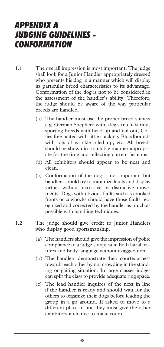# *APPENDIX A JUDGING GUIDELINES - CONFORMATION*

- 1.1 The overall impression is most important. The judge shall look for a Junior Handler appropriately dressed who presents his dog in a manner which will display its particular breed characteristics to its advantage. Conformation of the dog is not to be considered in the assessment of the handler's ability. Therefore, the judge should be aware of the way particular breeds are handled.
	- (a) The handler must use the proper breed stance; e.g. German Shepherd with a leg stretch, various sporting breeds with head up and tail out, Collies free baited with little stacking, Bloodhounds with lots of wrinkle piled up, etc. All breeds should be shown in a suitable manner appropriate for the time and reflecting current fashions.
	- (b) All exhibitors should appear to be neat and clean.
	- (c) Conformation of the dog is not important but handlers should try to minimize faults and display virtues without excessive or distractive movements. Dogs with obvious faults such as crooked fronts or cowhocks should have those faults recognized and corrected by the handler as much as possible with handling techniques.
- 1.2 The judge should give credit to Junior Handlers who display good sportsmanship.
	- (a) The handlers should give the impression of polite compliance to a judge's request in both facial features and body language without exaggeration.
	- (b) The handlers demonstrate their courteousness towards each other by not crowding in the standing or gaiting situation. In large classes judges can split the class to provide adequate ring space.
	- (c) The lead handler inquires of the next in line if the handler is ready and should wait for the others to organize their dogs before leading the group in a go around. If asked to move to a different place in line they must give the other exhibitors a chance to make room.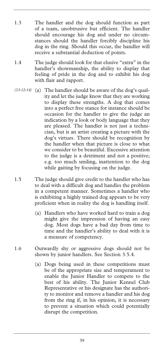- 1.3 The handler and the dog should function as part of a team, unobtrusive but efficient. The handler should encourage his dog and under no circumstances should the handler forcibly discipline his dog in the ring. Should this occur, the handler will receive a substantial deduction of points.
- 1.4 The judge should look for that elusive "extra" in the handler's showmanship, the ability to display that feeling of pride in the dog and to exhibit his dog with flair and rapport.
- (13-12-14) (a) The handler should be aware of the dog's quality and let the judge know that they are working to display these strengths. A dog that comes into a perfect free stance for instance should be occasion for the handler to give the judge an indication by a look or body language that they are pleased. The handler is not just a technician, but is an artist creating a picture with the dog's virtues. There should be recognition by the handler when that picture is close to what we consider to be beautiful. Excessive attention to the judge is a detriment and not a positive; e.g. too much smiling, inattention to the dog while gaiting by focusing on the judge.
- 1.5 The judge should give credit to the handler who has to deal with a difficult dog and handles the problem in a competent manner. Sometimes a handler who is exhibiting a highly trained dog appears to be very proficient when in reality the dog is handling itself.
	- (a) Handlers who have worked hard to train a dog might give the impression of having an easy dog. Most dogs have a bad day from time to time and the handler's ability to deal with it is a measure of competency.
- 1.6 Outwardly shy or aggressive dogs should not be shown by junior handlers. See Section 3.5.4.
	- (a) Dogs being used in these competitions must be of the appropriate size and temperament to enable the Junior Handler to compete to the best of his ability. The Junior Kennel Club Representative or his designate has the authority to monitor and remove a handler and his dog from the ring if, in his opinion, it is necessary to prevent a situation which could potentially disrupt the competition.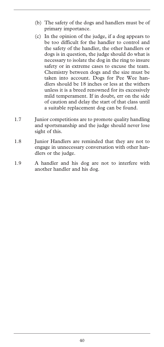- (b) The safety of the dogs and handlers must be of primary importance.
- (c) In the opinion of the judge, if a dog appears to be too difficult for the handler to control and the safety of the handler, the other handlers or dogs is in question, the judge should do what is necessary to isolate the dog in the ring to insure safety or in extreme cases to excuse the team. Chemistry between dogs and the size must be taken into account. Dogs for Pee Wee handlers should be 18 inches or less at the withers unless it is a breed renowned for its excessively mild temperament. If in doubt, err on the side of caution and delay the start of that class until a suitable replacement dog can be found.
- 1.7 Junior competitions are to promote quality handling and sportsmanship and the judge should never lose sight of this.
- 1.8 Iunior Handlers are reminded that they are not to engage in unnecessary conversation with other handlers or the judge.
- 1.9 A handler and his dog are not to interfere with another handler and his dog.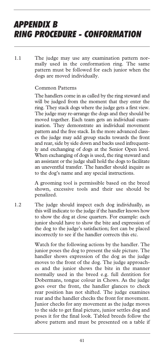# *APPENDIX B RING PROCEDURE - CONFORMATION*

1.1 The judge may use any examination pattern normally used in the conformation ring. The same pattern must be followed for each junior when the dogs are moved individually.

#### Common Patterns

The handlers come in as called by the ring steward and will be judged from the moment that they enter the ring. They stack dogs where the judge gets a first view. The judge may re-arrange the dogs and they should be moved together. Each team gets an individual examination. They demonstrate an individual movement pattern and the free stack. In the more advanced classes the judge may add group stacks towards the front and rear, side by side down and backs used infrequently and exchanging of dogs at the Senior Open level. When exchanging of dogs is used, the ring steward and an assistant or the judge shall hold the dogs to facilitate an uneventful transfer. The handler should inquire as to the dog's name and any special instructions.

A grooming tool is permissible based on the breed shown, excessive tools and their use should be penalized.

1.2 The judge should inspect each dog individually, as this will indicate to the judge if the handler knows how to show the dog at close quarters. For example: each junior should have to show the bite and expression of the dog to the judge's satisfaction; feet can be placed incorrectly to see if the handler corrects this etc.

> Watch for the following actions by the handler. The junior poses the dog to present the side picture. The handler shows expression of the dog as the judge moves to the front of the dog. The judge approaches and the junior shows the bite in the manner normally used in the breed e.g. full dentition for Dobermans, tongue colour in Chows. As the judge goes over the front, the handler glances to check rear position has not shifted. The judge examines rear and the handler checks the front for movement. Junior checks for any movement as the judge moves to the side to get final picture, junior settles dog and poses it for the final look. Tabled breeds follow the above pattern and must be presented on a table if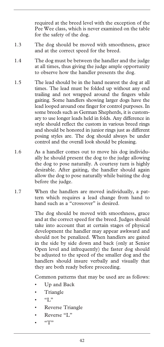required at the breed level with the exception of the Pee Wee class, which is never examined on the table for the safety of the dog.

- 1.3 The dog should be moved with smoothness, grace and at the correct speed for the breed.
- 1.4 The dog must be between the handler and the judge at all times, thus giving the judge ample opportunity to observe how the handler presents the dog.
- 1.5 The lead should be in the hand nearest the dog at all times. The lead must be folded up without any end trailing and not wrapped around the fingers while gaiting. Some handlers showing larger dogs have the lead looped around one finger for control purposes. In some breeds such as German Shepherds, it is customary to use longer leads held in folds. Any difference in style should reflect the custom in various breed rings and should be honored in junior rings just as different posing styles are. The dog should always be under control and the overall look should be pleasing.
- 1.6 As a handler comes out to move his dog individually he should present the dog to the judge allowing the dog to pose naturally. A courtesy turn is highly desirable. After gaiting, the handler should again allow the dog to pose naturally while baiting the dog before the judge.
- 1.7 When the handlers are moved individually, a pattern which requires a lead change from hand to hand such as a "crossover" is desired.

The dog should be moved with smoothness, grace and at the correct speed for the breed. Judges should take into account that at certain stages of physical development the handler may appear awkward and should not be penalized. When handlers are gaited in the side by side down and back (only at Senior Open level and infrequently) the faster dog should be adjusted to the speed of the smaller dog and the handlers should insure verbally and visually that they are both ready before proceeding.

Common patterns that may be used are as follows:

- Up and Back
- Triangle
- $\bullet$  " $\circ$  T"
- Reverse Triangle
- Reverse "L"
- "T"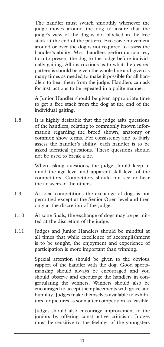The handler must switch smoothly whenever the judge moves around the dog to insure that the judge's view of the dog is not blocked in the free stack at the end of the pattern. Excessive movement around or over the dog is not required to assess the handler's ability. Most handlers perform a courtesy turn to present the dog to the judge before individually gaiting. All instructions as to what the desired pattern is should be given the whole line and given as many times as needed to make it possible for all handlers to hear them from the judge. Handlers can ask for instructions to be repeated in a polite manner.

A Junior Handler should be given appropriate time to get a free stack from the dog at the end of the individual gaiting.

1.8 It is highly desirable that the judge asks questions of the handlers, relating to commonly known information regarding the breed shown, anatomy or common show terms. For consistency and to fairly assess the handler's ability, each handler is to be asked identical questions. These questions should not be used to break a tie.

> When asking questions, the judge should keep in mind the age level and apparent skill level of the competitors. Competitors should not see or hear the answers of the others.

- 1.9 At local competitions the exchange of dogs is not permitted except at the Senior Open level and then only at the discretion of the judge.
- 1.10 At zone finals, the exchange of dogs may be permitted at the discretion of the judge.
- 1.11 Judges and Junior Handlers should be mindful at all times that while excellence of accomplishment is to be sought, the enjoyment and experience of participation is more important than winning.

Special attention should be given to the obvious rapport of the handler with the dog. Good sportsmanship should always be encouraged and you should observe and encourage the handlers in congratulating the winners. Winners should also be encouraged to accept their placements with grace and humility. Judges make themselves available to exhibitors for pictures as soon after competition as feasible.

Judges should also encourage improvement in the juniors by offering constructive criticism. Judges must be sensitive to the feelings of the youngsters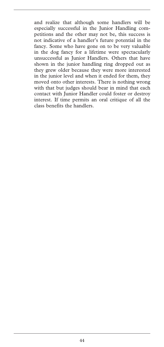and realize that although some handlers will be especially successful in the Junior Handling competitions and the other may not be, this success is not indicative of a handler's future potential in the fancy. Some who have gone on to be very valuable in the dog fancy for a lifetime were spectacularly unsuccessful as Junior Handlers. Others that have shown in the junior handling ring dropped out as they grew older because they were more interested in the junior level and when it ended for them, they moved onto other interests. There is nothing wrong with that but judges should bear in mind that each contact with Junior Handler could foster or destroy interest. If time permits an oral critique of all the class benefits the handlers.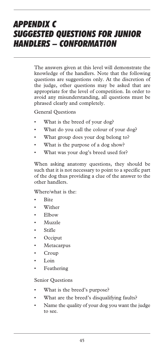# *APPENDIX C SUGGESTED QUESTIONS FOR JUNIOR HANDLERS – CONFORMATION*

The answers given at this level will demonstrate the knowledge of the handlers. Note that the following questions are suggestions only. At the discretion of the judge, other questions may be asked that are appropriate for the level of competition. In order to avoid any misunderstanding, all questions must be phrased clearly and completely.

General Questions

- What is the breed of your dog?
- What do you call the colour of your dog?
- What group does your dog belong to?
- What is the purpose of a dog show?
- What was your dog's breed used for?

When asking anatomy questions, they should be such that it is not necessary to point to a specific part of the dog thus providing a clue of the answer to the other handlers.

Where/what is the:

- Bite
- Wither
- Elbow
- Muzzle
- Stifle
- Occiput
- **Metacarpus**
- Croup
- Loin
- **Feathering**

#### Senior Questions

- What is the breed's purpose?
- What are the breed's disqualifying faults?
- Name the quality of your dog you want the judge to see.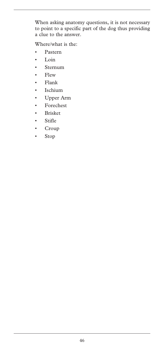When asking anatomy questions, it is not necessary to point to a specific part of the dog thus providing a clue to the answer.

Where/what is the:

- Pastern
- Loin
- Sternum
- Flew
- Flank
- Ischium
- Upper Arm
- Forechest
- Brisket
- Stifle
- Croup
- Stop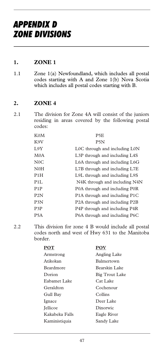#### **1. ZONE 1**

1.1 Zone 1(a) Newfoundland, which includes all postal codes starting with A and Zone 1(b) Nova Scotia which includes all postal codes starting with B.

#### **2. ZONE 4**

2.1 The division for Zone 4A will consist of the juniors residing in areas covered by the following postal codes:

| K <sub>0</sub> M | P5E                                                     |
|------------------|---------------------------------------------------------|
| K9V              | P <sub>5</sub> N                                        |
| 1.9Y             | L0C through and including L0N                           |
| M <sub>0</sub> A | L <sub>3</sub> P through and including L <sub>4S</sub>  |
| N0C              | L6A through and including L6G                           |
| N <sub>0</sub> H | L7B through and including L7E                           |
| P1H              | L9L through and including L9S                           |
| P1L              | N4K through and including N4N                           |
| P1P              | P0A through and including P0R                           |
| P2N              | P <sub>1</sub> A through and including P <sub>1</sub> C |
| P <sub>3</sub> N | P <sub>2</sub> A through and including P <sub>2</sub> B |
| P <sub>3</sub> P | P <sub>4</sub> P through and including P <sub>4</sub> R |
| P5A              | P6A through and including P6C                           |

2.2 This division for zone 4 B would include all postal codes north and west of Hwy 631 to the Manitoba border.

| POT              | POV                   |
|------------------|-----------------------|
| Armstrong        | Angling Lake          |
| Atikokan         | Balmertown            |
| <b>Beardmore</b> | Bearskin Lake         |
| Dorion           | <b>Big Trout Lake</b> |
| Eabamet Lake     | Cat Lake              |
| Geraldton        | Cochenour             |
| Gull Bay         | Collins               |
| Ignace           | Deer Lake             |
| <b>J</b> ellicoe | Dinorwic              |
| Kakabeka Falls   | Eagle River           |
| Kaministiquia    | Sandy Lake            |
|                  |                       |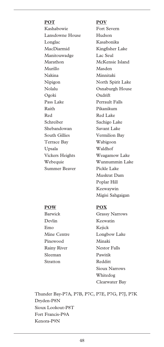**POT POV** Kashabowie Fort Severn Lansdowne House Hudson Longlac Kasabonika MacDiarmid Kingfisher Lake Manitouwadge Lac Seul Marathon McKensie Island Murillo Masden Nakina Minnitaki Nipigon North Spirit Lake Nolalu Osnaburgh House Ogoki Oxdrift Pass Lake Perrault Falls Raith Pikanikum Red Red Lake Schreiber Sachigo Lake Shebandowan Savant Lake South Gillies Vermilion Bay Terrace Bay Wabigoon Upsala Waldhof Vickers Heights Weagamow Lake Summer Beaver Pickle Lake

 Webequie Wunnummin Lake Muskrat Dam Poplar Hill Keewaywin Migisi Sahgaigan

 Barwick Grassy Narrows Mine Centre Longbow Lake Rainy River Nestor Falls Sioux Narrows Whitedog Clearwater Bay

Thunder Bay-P7A, P7B, P7C, P7E, P7G, P7J, P7K Dryden-P8N Sioux Lookout-P8T Fort Francis-P9A Kenora-P9N

#### **POW POX**

 Devlin Keewatin Emo Kejick Pinewood Minaki Sleeman Pawitik Stratton Redditt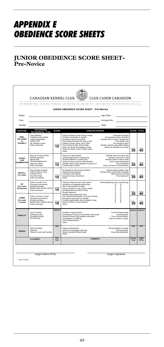# *APPENDIX E OBEDIENCE SCORE SHEETS*

# **JUNIOR OBEDIENCE SCORE SHEET-Pre-Novice**

|                                                         |                                                                                                                                                     |              |                                                                                                                                                                                                                                                                                                             | 200 RONSON DRIVE, SUITE 400, ETOBICOKE, ON M9W 5Z9 TEL (416) 675-5511 1 (855) 364-7252 FAX (416) 675-6506 www.ckc.ca                                                                                   |                   |                             |
|---------------------------------------------------------|-----------------------------------------------------------------------------------------------------------------------------------------------------|--------------|-------------------------------------------------------------------------------------------------------------------------------------------------------------------------------------------------------------------------------------------------------------------------------------------------------------|--------------------------------------------------------------------------------------------------------------------------------------------------------------------------------------------------------|-------------------|-----------------------------|
| Breed:<br>Club:<br>Handler                              |                                                                                                                                                     |              | <b>JUNIOR OBEDIENCE SCORE SHEET - Pre-Novice</b>                                                                                                                                                                                                                                                            | Age Class:<br>Armband No.:<br>Date:                                                                                                                                                                    |                   |                             |
| <b>EXERCISE</b>                                         | <b>DOG ERRORS</b>                                                                                                                                   | <b>SCORE</b> | <b>HANDLER ERRORS</b>                                                                                                                                                                                                                                                                                       |                                                                                                                                                                                                        | SCORE TOTAL       |                             |
| <b>HFFI</b><br><b>ON LEASH</b><br>å.<br><b>FIGURE 8</b> | Non Qualifving - 0 pts<br>Poor attention<br>Interferee with handler<br>Lags/Forges/Wide<br>No/Poor Sit<br>No change in pace<br><b>Extra</b> command | 10           | Does not check to see if dog is ready<br>Unclear commands or signals<br>Excessive hand movements<br>Poor footwork-Steps into dog on halt<br>Adapts to Dogs: pace, turns, halts<br>Poor timing on take off and halts<br>Does not centre dog between posts<br>Does not check to see if dog is ready<br>Other: | Command & Signal<br>Unnecessary extra command<br>Handler fails to work a straight line<br>Poor leash work<br>No change of pace<br>Handler watches dog while heeling<br>Starts too close/far from posts | 30                | 40                          |
| <b>STAND</b><br><b>FOR</b><br><b>EXAMINATION</b>        | Dog not in heel position<br>Resists standing<br>Moves feet<br>Shyness/Aggressive<br>Sits/Lavs Down<br>Extra command                                 | 10           | Dog not in heel position<br>Unreasonable time in posing dog<br>Rough treatment in posing dog<br>Does not leave dog from heel position<br>Handler backs away-Handler not at end of<br>Crowds dog on return                                                                                                   | Handler does not check dog<br>Unclear command to dog<br>Handler waits for leave order<br>Extra commands/signal<br>Poor leashwork<br>Does not return to heel position                                   | 30                | 40                          |
| <b>RECALL</b><br>On Leash                               | Dog changes position<br>Fails to stay or come<br>Poor/No Front<br><b>PooriNo Finish</b><br>Extra commands                                           | 10           | No attempt to start at heel position<br>Improper body position<br>Command and signals<br>Excessive body movement<br>Other:                                                                                                                                                                                  | Leaves before judges order<br>Extra/unclear commands or signals<br>Backs away from dog<br>Poor leashwork                                                                                               | 30                | 40                          |
| SIT<br>On Leash<br>30 Seconds                           | Fails to remain in sit<br>Excessive movement<br><b>Excessive Noise</b><br>Breaks after handler returns<br>Extra command                             | 10           | Improper distance from other teams<br>Armband not readable behind dog<br>Not in heel position to leave<br>Does not check to see if dog is ready<br>Unclear/Extra command to dog<br>Rough treatment                                                                                                          | Entering/leaving ring or positioning<br>s<br>D<br>s<br>D<br>s<br>D<br>Ś<br>D<br>s<br>D                                                                                                                 | 30                | 40                          |
| <b>DOWN</b><br>On Leash<br>1 minute                     | Fails to remain in down<br><b>Excessive movement</b><br>Excessive Noise<br><b>Breaks after handler returns</b><br>Extra command                     | 10           | Handler backs away from dog<br>Poor leashwork/Handler not at end of leash<br>Excessive movement by handler<br>Crowds doo/Handler return straight to dog<br>Does not return to heel position<br>Other                                                                                                        | s<br>D<br>s<br>D<br>Ś<br>D<br>s<br>D<br>n                                                                                                                                                              | 30                | 40                          |
| PENALTY                                                 | Out of Control<br>Soiling the ring<br>Excessive Noise<br>Not Working                                                                                | Subtract     | Unable to read armband<br>Corrections/Training in ring-Harsh commands<br>Directs/Corrects dog between exercises<br>Presentation of self/dog<br>Poor Sportsmanship<br>Other                                                                                                                                  | Incorrect leash/collar<br>Lacking praise<br>Poor communication<br>Does not listen to judge                                                                                                             | Subtract Subtract |                             |
| <b>BONUS</b>                                            | Well motivated<br>Attentive<br>Wants to work with handler                                                                                           | <b>Add</b>   | Happy working team<br>Good communication with dog<br>Good ring skills-Efficient team<br>Other:                                                                                                                                                                                                              | Strong attention to detail<br>Well presented<br>Good Sportsmanship                                                                                                                                     | <b>Add</b>        | <b>Add</b>                  |
|                                                         | <b>PLACEMENT</b>                                                                                                                                    | Dog<br>Total | COMMENTS                                                                                                                                                                                                                                                                                                    |                                                                                                                                                                                                        | Handler<br>Total  | <b>TEAM</b><br><b>TOTAL</b> |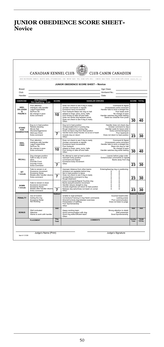### **JUNIOR OBEDIENCE SCORE SHEET-Novice**

|                                                                     | <b>CANADIAN KENNEL CLUB</b>                                                                                                                  |              | 200 RONSON DRIVE, SUITE 400, ETOBICOKE, ON M9W 5Z9 TEL (416) 675-5511 1 (855) 364-7252 FAX (416) 675-6506 www.ckc.ca                                                                                                                                                                                                                 | <b>CLUB CANIN CANADIEN</b>                                                                                                                                                                             |                   |                             |
|---------------------------------------------------------------------|----------------------------------------------------------------------------------------------------------------------------------------------|--------------|--------------------------------------------------------------------------------------------------------------------------------------------------------------------------------------------------------------------------------------------------------------------------------------------------------------------------------------|--------------------------------------------------------------------------------------------------------------------------------------------------------------------------------------------------------|-------------------|-----------------------------|
| <b>Breed:</b><br>Club:                                              |                                                                                                                                              |              | JUNIOR OBEDIENCE SCORE SHEET - Novice                                                                                                                                                                                                                                                                                                | Age Class:<br>Armband No.:                                                                                                                                                                             |                   |                             |
| Hondler                                                             | <b>DOG ERRORS</b>                                                                                                                            |              |                                                                                                                                                                                                                                                                                                                                      | Date:                                                                                                                                                                                                  |                   |                             |
| <b>FXFRCISE</b><br>HEEL<br><b>ON LEASH</b><br>s.<br><b>FIGURE 8</b> | Non Qualifying - 0 pts<br>Poor attention<br>Interferes with handler<br>Lags/Forges/Wide<br>No/Poor Sit<br>No change in pace<br>Extra command | SCORE<br>10  | <b>HANDLER ERRORS</b><br>Does not check to see if dog is ready<br>Unclear commands or signals<br>Excessive hand movements<br>Poor footwork-Steps into dog on halt<br>Adapts to Dogs: pace, turns, halts<br>Poor timing on take off and halts<br>Does not centre dog between posts<br>Does not check to see if dog is ready<br>Other: | Command & Signal<br>Unnecessary extra command<br>Handler fails to work a straight line<br>Poor leash work<br>No change of pace<br>Handler watches dog while heeling<br>Starts too close/far from posts | SCORE TOTAL<br>30 | 40                          |
| <b>STAND</b><br><b>FOR</b><br><b>EXAMINATION</b>                    | Dog no in heel position<br>Resists standing<br>Moves feet<br>Shyness/Aggressive<br>Sits/Lavs Down<br>Extra command                           | 7            | Dog not in heel position<br>Unreasonable time in posing dog<br>Rough treatment in posing dog<br>Does not leave dog from heel position<br>Handler backs away-Handler not at end of leash<br>Crowds dog on return<br>Other <sup>-</sup>                                                                                                | Handler does not check dog<br>Unclear command to dog<br>Handler waits for leave order<br>Extra commands/signal<br>Poor leashwork<br>Does not return to heel position                                   | 23                | 30                          |
| <b>HEEL</b><br>FRFF                                                 | <b>Poor attention</b><br>Interferes with handler<br>Lags/Forges/Wide<br>No/Poor Sit<br>No change in pace<br><b>Extra</b> command             | 10           | Does not check to see if dog is ready<br>Unclear commands or signals<br>Excessive hand movements<br>Poor footwork<br>Adapts to Dogs: pace, turns, halts<br>Poor timing on take off and halts<br>Other:                                                                                                                               | Command & Signal<br>Unnecessary extra command<br>Handler fails to work a straight line<br>Steps into dog on halt<br>No change of pace<br>Handler watches dog while heeling                             | 30                | 40                          |
| RECALL                                                              | Dog changes position<br>Fails to stay or come<br>Slow<br>Poor/No Front<br>Poor/No Finish<br><b>Eytre Command</b>                             | 7            | No attempt to start at heel position<br>Improper body position<br>Command and Signal<br>Excessive body movement<br>Other                                                                                                                                                                                                             | Leaves before judge order<br>Extra/Unclear commands or signals<br>Backs away from dog                                                                                                                  | 23                | 30                          |
| SIT<br>1 minute                                                     | Fails to remain in sit<br>Excessive movement<br>Excessive Noise<br>Breaks after handler returns<br>Eytre commend                             | 7            | Improper distance from other teams<br>Armband not readable behind dog<br>Not in heel position to leave<br>Does not check to see if dog is ready<br>Unclear/Extra command to doo<br>Rough treatment                                                                                                                                   | Entering/leaving ring or positioning<br>s<br>D<br>s<br>D<br>s<br>D<br>s<br>D<br>s<br>D                                                                                                                 | 23                | 30                          |
| <b>DOWN</b><br>1 minute                                             | Fails to remain in down<br>Excessive movement<br><b>Excessive Noise</b><br>Breaks after handler returns<br>Extra command                     | 7            | Extra Commands/Signal-Touches dog<br>Backs away/Excessive movement<br>Handler returns straight to dog<br>Crowds dog/Does not return to heel position<br>Release dog early/Does not leash on compl.<br>Other:                                                                                                                         | s<br>D<br>š<br>D<br>s<br>D<br>s<br>D<br>s<br>D                                                                                                                                                         | 23                | 30                          |
| PENALTY                                                             | Out of Control<br>Soiling the ring<br>Excessive Noise<br>Not Working                                                                         | Subtract     | Unable to read armband<br>Corrections/Training in ring-Harsh commands<br>Directs/Corrects dog between exercises<br>Presentation of self/dog<br>Poor Sportsmanship<br>Other                                                                                                                                                           | Incorrect leash/collar<br>Lacking praise<br>Poor communication<br>Does not listen to judge                                                                                                             | Subtract          | Subtract                    |
| <b>BONUS</b>                                                        | Mall motivatari<br>Attentive<br>Wants to work with handler                                                                                   | <b>Add</b>   | Happy working team<br>Good communication with dog<br>Good ring skills-Efficient team<br>Other:                                                                                                                                                                                                                                       | Strong attention to detail<br>Well presented<br>Good Sportsmanship                                                                                                                                     | Add               | hhA                         |
|                                                                     | <b>PLACEMENT</b>                                                                                                                             | Don<br>Total | <b>COMMENTS</b>                                                                                                                                                                                                                                                                                                                      |                                                                                                                                                                                                        | Handler<br>Total  | <b>TEAM</b><br><b>TOTAL</b> |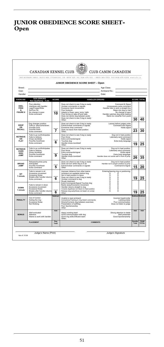# **JUNIOR OBEDIENCE SCORE SHEET-Open**

|                                                |                                                                                                                           |              | 200 RONSON DRIVE, SUITE 400, ETOBICOKE, ON M9W 5Z9 TEL (416) 675-5511 1 (855) 364-7252 FAX (416) 675-6506 www.ckc.ca                                                                                                                                                                       |                                                                                                                                                                                                               |                          |                             |
|------------------------------------------------|---------------------------------------------------------------------------------------------------------------------------|--------------|--------------------------------------------------------------------------------------------------------------------------------------------------------------------------------------------------------------------------------------------------------------------------------------------|---------------------------------------------------------------------------------------------------------------------------------------------------------------------------------------------------------------|--------------------------|-----------------------------|
| Breed:<br>Club:<br>Handler                     |                                                                                                                           |              | JUNIOR OBEDIENCE SCORE SHEET - Open                                                                                                                                                                                                                                                        | Age Class:<br>Armband No.:<br>Date:                                                                                                                                                                           |                          |                             |
| <b>EXERCISE</b>                                | <b>DOG ERRORS</b><br>Non Qualifying - 0 pts                                                                               | <b>SCORE</b> | <b>HANDLER ERRORS</b>                                                                                                                                                                                                                                                                      |                                                                                                                                                                                                               | <b>SCORE TOTAL</b>       |                             |
| HEEL<br>EDEE<br>å.<br><b>FIGURE 8</b>          | Poor attention<br>Interferes with handler<br>Lags/Forges/Wide<br>No/Poor Sit<br>No change in pace<br><b>Extra command</b> | 10           | Does not check to see if dog is ready<br>Unclear commands or signals<br><b>Excessive hand movements</b><br>Poor footwork<br>Adapts to Dogs: pace, turns, halts<br>Poor timing on take off and halts<br>Does not centre dog between posts<br>Does not check to see if dog is ready<br>Other | Command & Signal<br>Unnecessary extra command<br>Handler fails to work a straight line<br>Steps into dog on halt<br>No change of pace<br>Handler watches dog while heeling<br>Starts too close/far from posts | 30                       | 40                          |
| <b>DROP</b><br>ON<br><b>RECALL</b>             | Dog changes position<br>Fails to: stav/come/down<br>Poor/No front<br>Poor/No finish<br>Extra command                      | 7            | Does not check to see if dog is ready<br>Extra/Unclear commands or signals<br>Excessive drop command<br>Does not leave from heel position<br>Other                                                                                                                                         | Leaves before judges order<br>Command and Signal<br>Holds signal                                                                                                                                              | 23                       | 30                          |
| <b>RETRIEVE</b><br>ON<br>ELAT                  | Fails to go out/Anticipates<br>Fails to retrieve<br>Droos dumbbell<br><b>Poor/No front/finish</b><br><b>Extra command</b> | 6            | Does not check to see if dog is ready<br>Poor throw<br>Extra commands/signal<br>Touches dog<br>Handler drops dumbbell<br>Other:                                                                                                                                                            | Dog not in heel position<br>Late/early send command<br>Holds signal<br>Extra body language                                                                                                                    | 19                       | 25                          |
| <b>RETRIEVE</b><br>OVER<br>HIGH<br><b>JUMP</b> | Fails to go out/Anticipates<br>Fails to retrieve<br>Drops dumbbell<br>Poor/No front/finish<br>Extra command               | 9            | Does not check to see if dog is ready<br>Poor throw<br>Extra commands/signal<br>Touches dog<br>Handler drops dumbbell<br>Other                                                                                                                                                             | Dog not in heel position<br>Late/early send command<br>Holds signal<br>Extra body language<br>Handler does not centre self in front of jump                                                                   | 26                       | 35                          |
| <b>BROAD</b><br><b>JUMP</b>                    | Refuses/touches jump<br>Anticipates<br>Poor/No front/finish<br><b>Extra</b> command                                       | 5            | Does not check to see if dog is ready<br>Does not turn while dog is in air<br>Extra/Unclear commands or signals<br>Other                                                                                                                                                                   | Dog not in heel position<br>Handler not in proper position to jump<br>Command & Signal                                                                                                                        | 15                       | 20                          |
| SIT<br>1 minute                                | Fails to remain in sit<br>Excessive movement<br>Excessive Noise<br>Breaks after handler returns<br>Extra command          | 6            | Improper distance from other teams<br>Armband not readable behind dog<br>Not in heel position to leave<br>Does not check to see if dog is ready<br>Unclear command to dog<br>Rough treatment                                                                                               | Entering/leaving ring or positioning<br>S<br>S<br>n<br>ō<br>s<br>D<br>s<br>D<br>s<br>D                                                                                                                        | 19                       | 25                          |
| <b>DOWN</b><br>1 minute                        | Fails to remain in down<br>Excessive movement<br><b>Excessive Noise</b><br>Breaks after handler returns<br>Extra command  | 6            | Extra Commands/Signal-Touches dog<br>Backs away/Excessive movement<br>Handler returns straight to dog<br>Crowds dog/Does not return to heel position<br>Release dog early/Does not leash on compl.<br>Other                                                                                | š<br>n<br>$\overline{s}$<br>D<br>D<br>s<br>D<br>ę<br>n                                                                                                                                                        | 19                       | 25                          |
| PENALTY                                        | Out of Control<br>Soiling the ring<br>Excessive Noise<br>Not Working                                                      | Subtract     | Unable to read armband<br>Corrections/Training in ring-Harsh commands<br>Directs/Corrects dog between exercises<br>Presentation of self/dog<br>Poor Sportsmanship<br>Other                                                                                                                 | Incorrect leash/collar<br>Lacking praise<br>Poor communication<br>Does not listen to judge                                                                                                                    | <b>Subtract Subtract</b> |                             |
| <b>BONUS</b>                                   | Well motivated<br>Attentive<br>Wants to work with handler                                                                 | <b>Add</b>   | Happy working team<br>Good communication with dog<br>Good ring skills-Efficient team<br>Other                                                                                                                                                                                              | Strong attention to detail<br>Well presented<br>Good Sportsmanship                                                                                                                                            | Add                      | <b>Add</b>                  |
|                                                | <b>PLACEMENT</b>                                                                                                          | Dog<br>Total | <b>COMMENTS</b>                                                                                                                                                                                                                                                                            |                                                                                                                                                                                                               | Handler<br>Total         | <b>TFAM</b><br><b>TOTAL</b> |